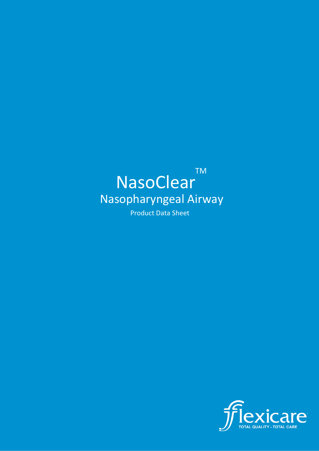# NasoClear TM Nasopharyngeal Airway Product Data Sheet

are TOTAL QUALITY - TOTAL CARE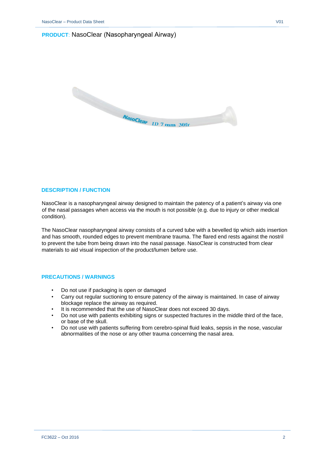# **PRODUCT**: NasoClear (Nasopharyngeal Airway)



## **DESCRIPTION / FUNCTION**

NasoClear is a nasopharyngeal airway designed to maintain the patency of a patient's airway via one of the nasal passages when access via the mouth is not possible (e.g. due to injury or other medical condition).

The NasoClear nasopharyngeal airway consists of a curved tube with a bevelled tip which aids insertion and has smooth, rounded edges to prevent membrane trauma. The flared end rests against the nostril to prevent the tube from being drawn into the nasal passage. NasoClear is constructed from clear materials to aid visual inspection of the product/lumen before use.

#### **PRECAUTIONS / WARNINGS**

- Do not use if packaging is open or damaged
- Carry out regular suctioning to ensure patency of the airway is maintained. In case of airway blockage replace the airway as required.
- It is recommended that the use of NasoClear does not exceed 30 days.
- Do not use with patients exhibiting signs or suspected fractures in the middle third of the face, or base of the skull.
- Do not use with patients suffering from cerebro-spinal fluid leaks, sepsis in the nose, vascular abnormalities of the nose or any other trauma concerning the nasal area.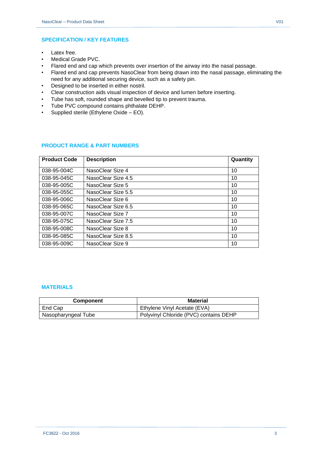- Latex free.
- Medical Grade PVC.
- Flared end and cap which prevents over insertion of the airway into the nasal passage.
- Flared end and cap prevents NasoClear from being drawn into the nasal passage, eliminating the need for any additional securing device, such as a safety pin.
- Designed to be inserted in either nostril.
- Clear construction aids visual inspection of device and lumen before inserting.
- Tube has soft, rounded shape and bevelled tip to prevent trauma.
- Tube PVC compound contains phthalate DEHP.
- Supplied sterile (Ethylene Oxide EO).

### **PRODUCT RANGE & PART NUMBERS**

| <b>Product Code</b> | <b>Description</b> | Quantity |
|---------------------|--------------------|----------|
| 038-95-004C         | NasoClear Size 4   | 10       |
| 038-95-045C         | NasoClear Size 4.5 | 10       |
| 038-95-005C         | NasoClear Size 5   | 10       |
| 038-95-055C         | NasoClear Size 5.5 | 10       |
| 038-95-006C         | NasoClear Size 6   | 10       |
| 038-95-065C         | NasoClear Size 6.5 | 10       |
| 038-95-007C         | NasoClear Size 7   | 10       |
| 038-95-075C         | NasoClear Size 7.5 | 10       |
| 038-95-008C         | NasoClear Size 8   | 10       |
| 038-95-085C         | NasoClear Size 8.5 | 10       |
| 038-95-009C         | NasoClear Size 9   | 10       |

#### **MATERIALS**

| <b>Component</b>    | <b>Material</b>                        |
|---------------------|----------------------------------------|
| End Cap             | Ethylene Vinyl Acetate (EVA)           |
| Nasopharyngeal Tube | Polyvinyl Chloride (PVC) contains DEHP |